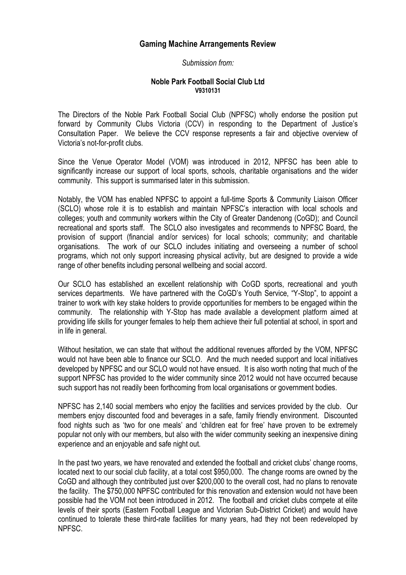## **Gaming Machine Arrangements Review**

*Submission from:*

## **Noble Park Football Social Club Ltd V9310131**

The Directors of the Noble Park Football Social Club (NPFSC) wholly endorse the position put forward by Community Clubs Victoria (CCV) in responding to the Department of Justice's Consultation Paper. We believe the CCV response represents a fair and objective overview of Victoria's not-for-profit clubs.

Since the Venue Operator Model (VOM) was introduced in 2012, NPFSC has been able to significantly increase our support of local sports, schools, charitable organisations and the wider community. This support is summarised later in this submission.

Notably, the VOM has enabled NPFSC to appoint a full-time Sports & Community Liaison Officer (SCLO) whose role it is to establish and maintain NPFSC's interaction with local schools and colleges; youth and community workers within the City of Greater Dandenong (CoGD); and Council recreational and sports staff. The SCLO also investigates and recommends to NPFSC Board, the provision of support (financial and/or services) for local schools; community; and charitable organisations. The work of our SCLO includes initiating and overseeing a number of school programs, which not only support increasing physical activity, but are designed to provide a wide range of other benefits including personal wellbeing and social accord.

Our SCLO has established an excellent relationship with CoGD sports, recreational and youth services departments. We have partnered with the CoGD's Youth Service, "Y-Stop", to appoint a trainer to work with key stake holders to provide opportunities for members to be engaged within the community. The relationship with Y-Stop has made available a development platform aimed at providing life skills for younger females to help them achieve their full potential at school, in sport and in life in general.

Without hesitation, we can state that without the additional revenues afforded by the VOM, NPFSC would not have been able to finance our SCLO. And the much needed support and local initiatives developed by NPFSC and our SCLO would not have ensued. It is also worth noting that much of the support NPFSC has provided to the wider community since 2012 would not have occurred because such support has not readily been forthcoming from local organisations or government bodies.

NPFSC has 2,140 social members who enjoy the facilities and services provided by the club. Our members enjoy discounted food and beverages in a safe, family friendly environment. Discounted food nights such as 'two for one meals' and 'children eat for free' have proven to be extremely popular not only with our members, but also with the wider community seeking an inexpensive dining experience and an enjoyable and safe night out.

In the past two years, we have renovated and extended the football and cricket clubs' change rooms, located next to our social club facility, at a total cost \$950,000. The change rooms are owned by the CoGD and although they contributed just over \$200,000 to the overall cost, had no plans to renovate the facility. The \$750,000 NPFSC contributed for this renovation and extension would not have been possible had the VOM not been introduced in 2012. The football and cricket clubs compete at elite levels of their sports (Eastern Football League and Victorian Sub-District Cricket) and would have continued to tolerate these third-rate facilities for many years, had they not been redeveloped by NPFSC.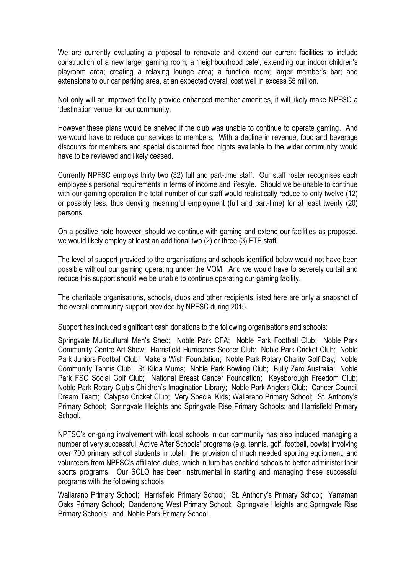We are currently evaluating a proposal to renovate and extend our current facilities to include construction of a new larger gaming room; a 'neighbourhood cafe'; extending our indoor children's playroom area; creating a relaxing lounge area; a function room; larger member's bar; and extensions to our car parking area, at an expected overall cost well in excess \$5 million.

Not only will an improved facility provide enhanced member amenities, it will likely make NPFSC a 'destination venue' for our community.

However these plans would be shelved if the club was unable to continue to operate gaming. And we would have to reduce our services to members. With a decline in revenue, food and beverage discounts for members and special discounted food nights available to the wider community would have to be reviewed and likely ceased.

Currently NPFSC employs thirty two (32) full and part-time staff. Our staff roster recognises each employee's personal requirements in terms of income and lifestyle. Should we be unable to continue with our gaming operation the total number of our staff would realistically reduce to only twelve (12) or possibly less, thus denying meaningful employment (full and part-time) for at least twenty (20) persons.

On a positive note however, should we continue with gaming and extend our facilities as proposed, we would likely employ at least an additional two (2) or three (3) FTE staff.

The level of support provided to the organisations and schools identified below would not have been possible without our gaming operating under the VOM. And we would have to severely curtail and reduce this support should we be unable to continue operating our gaming facility.

The charitable organisations, schools, clubs and other recipients listed here are only a snapshot of the overall community support provided by NPFSC during 2015.

Support has included significant cash donations to the following organisations and schools:

Springvale Multicultural Men's Shed; Noble Park CFA; Noble Park Football Club; Noble Park Community Centre Art Show; Harrisfield Hurricanes Soccer Club; Noble Park Cricket Club; Noble Park Juniors Football Club; Make a Wish Foundation; Noble Park Rotary Charity Golf Day; Noble Community Tennis Club; St. Kilda Mums; Noble Park Bowling Club; Bully Zero Australia; Noble Park FSC Social Golf Club; National Breast Cancer Foundation; Keysborough Freedom Club; Noble Park Rotary Club's Children's Imagination Library; Noble Park Anglers Club; Cancer Council Dream Team; Calypso Cricket Club; Very Special Kids; Wallarano Primary School; St. Anthony's Primary School; Springvale Heights and Springvale Rise Primary Schools; and Harrisfield Primary School.

NPFSC's on-going involvement with local schools in our community has also included managing a number of very successful 'Active After Schools' programs (e.g. tennis, golf, football, bowls) involving over 700 primary school students in total; the provision of much needed sporting equipment; and volunteers from NPFSC's affiliated clubs, which in turn has enabled schools to better administer their sports programs. Our SCLO has been instrumental in starting and managing these successful programs with the following schools:

Wallarano Primary School; Harrisfield Primary School; St. Anthony's Primary School; Yarraman Oaks Primary School; Dandenong West Primary School; Springvale Heights and Springvale Rise Primary Schools; and Noble Park Primary School.